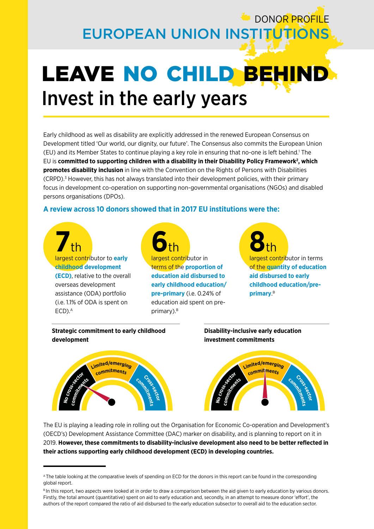# DONOR PROFILE EUROPEAN UNION INSTITUTIONS

# LEAVE NO CHILD BEHIND Invest in the early years

Early childhood as well as disability are explicitly addressed in the renewed European Consensus on Development titled 'Our world, our dignity, our future'. The Consensus also commits the European Union (EU) and its Member States to continue playing a key role in ensuring that no-one is left behind.1 The EU is **committed to supporting children with a disability in their Disability Policy Framework2 , which promotes disability inclusion** in line with the Convention on the Rights of Persons with Disabilities (CRPD).3 However, this has not always translated into their development policies, with their primary focus in development co-operation on supporting non-governmental organisations (NGOs) and disabled persons organisations (DPOs).

# **A review across 10 donors showed that in 2017 EU institutions were the:**

**7**th largest contributor to **early childhood development (ECD)**, relative to the overall overseas development assistance (ODA) portfolio (i.e. 1.1% of ODA is spent on ECD).<sup>A</sup> **6**<br> **6**<sup>th</sup> **argest contri**butor in terms of the **proportion of education aid disbursed to early childhood education/ pre-primary** (i.e. 0.24% of education aid spent on preprimary).<sup>B</sup>

**8**<br> **8 th largest contri**butor in terms of the **quantity of education aid disbursed to early childhood education/preprimary**. B



The EU is playing a leading role in rolling out the Organisation for Economic Co-operation and Development's (OECD's) Development Assistance Committee (DAC) marker on disability, and is planning to report on it in 2019. **However, these commitments to disability-inclusive development also need to be better reflected in their actions supporting early childhood development (ECD) in developing countries.**

A The table looking at the comparative levels of spending on ECD for the donors in this report can be found in the corresponding global report.

B In this report, two aspects were looked at in order to draw a comparison between the aid given to early education by various donors. Firstly, the total amount (quantitative) spent on aid to early education and, secondly, in an attempt to measure donor 'effort', the authors of the report compared the ratio of aid disbursed to the early education subsector to overall aid to the education sector.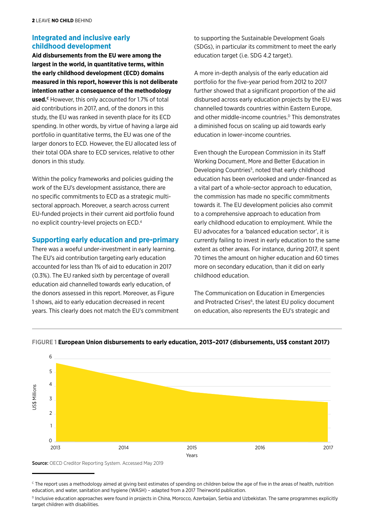# **Integrated and inclusive early childhood development**

**Aid disbursements from the EU were among the largest in the world, in quantitative terms, within the early childhood development (ECD) domains measured in this report, however this is not deliberate intention rather a consequence of the methodology**  used.<sup>c</sup> However, this only accounted for 1.7% of total aid contributions in 2017, and, of the donors in this study, the EU was ranked in seventh place for its ECD spending. In other words, by virtue of having a large aid portfolio in quantitative terms, the EU was one of the larger donors to ECD. However, the EU allocated less of their total ODA share to ECD services, relative to other donors in this study.

Within the policy frameworks and policies guiding the work of the EU's development assistance, there are no specific commitments to ECD as a strategic multisectoral approach. Moreover, a search across current EU-funded projects in their current aid portfolio found no explicit country-level projects on ECD.4

#### **Supporting early education and pre-primary**

There was a woeful under-investment in early learning. The EU's aid contribution targeting early education accounted for less than 1% of aid to education in 2017 (0.3%). The EU ranked sixth by percentage of overall education aid channelled towards early education, of the donors assessed in this report. Moreover, as Figure 1 shows, aid to early education decreased in recent years. This clearly does not match the EU's commitment to supporting the Sustainable Development Goals (SDGs), in particular its commitment to meet the early education target (i.e. SDG 4.2 target).

A more in-depth analysis of the early education aid portfolio for the five-year period from 2012 to 2017 further showed that a significant proportion of the aid disbursed across early education projects by the EU was channelled towards countries within Eastern Europe, and other middle-income countries. $<sup>D</sup>$  This demonstrates</sup> a diminished focus on scaling up aid towards early education in lower-income countries.

Even though the European Commission in its Staff Working Document, More and Better Education in Developing Countries<sup>5</sup>, noted that early childhood education has been overlooked and under-financed as a vital part of a whole-sector approach to education, the commission has made no specific commitments towards it. The EU development policies also commit to a comprehensive approach to education from early childhood education to employment. While the EU advocates for a 'balanced education sector', it is currently failing to invest in early education to the same extent as other areas. For instance, during 2017, it spent 70 times the amount on higher education and 60 times more on secondary education, than it did on early childhood education.

The Communication on Education in Emergencies and Protracted Crises<sup>6</sup>, the latest EU policy document on education, also represents the EU's strategic and





Source: OECD Creditor Reporting System. Accessed May 2019

<sup>&</sup>lt;sup>c</sup> The report uses a methodology aimed at giving best estimates of spending on children below the age of five in the areas of health, nutrition education, and water, sanitation and hygiene (WASH) – adapted from a 2017 Theirworld publication.

D Inclusive education approaches were found in projects in China, Morocco, Azerbaijan, Serbia and Uzbekistan. The same programmes explicitly target children with disabilities.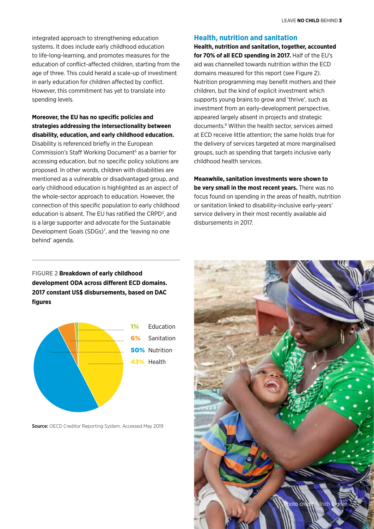integrated approach to strengthening education systems. It does include early childhood education to life-long-learning, and promotes measures for the education of conflict-affected children, starting from the age of three. This could herald a scale-up of investment in early education for children affected by conflict. However, this commitment has yet to translate into spending levels.

# **Moreover, the EU has no specific policies and strategies addressing the intersectionality between disability, education, and early childhood education.**

Disability is referenced briefly in the European Commission's Staff Working Document<sup>5</sup> as a barrier for accessing education, but no specific policy solutions are proposed. In other words, children with disabilities are mentioned as a vulnerable or disadvantaged group, and early childhood education is highlighted as an aspect of the whole-sector approach to education. However, the connection of this specific population to early childhood education is absent. The EU has ratified the CRPD<sup>3</sup>, and is a large supporter and advocate for the Sustainable Development Goals (SDGs)<sup>7</sup>, and the 'leaving no one behind' agenda.

#### **Health, nutrition and sanitation**

**Health, nutrition and sanitation, together, accounted for 70% of all ECD spending in 2017.** Half of the EU's aid was channelled towards nutrition within the ECD domains measured for this report (see Figure 2). Nutrition programming may benefit mothers and their children, but the kind of explicit investment which supports young brains to grow and 'thrive', such as investment from an early-development perspective, appeared largely absent in projects and strategic documents.8 Within the health sector, services aimed at ECD receive little attention; the same holds true for the delivery of services targeted at more marginalised groups, such as spending that targets inclusive early childhood health services.

**Meanwhile, sanitation investments were shown to be very small in the most recent years.** There was no focus found on spending in the areas of health, nutrition or sanitation linked to disability-inclusive early-years' service delivery in their most recently available aid disbursements in 2017.

FIGURE 2 **Breakdown of early childhood development ODA across different ECD domains. 2017 constant US\$ disbursements, based on DAC figures** 



Source: OECD Creditor Reporting System. Accessed May 2019